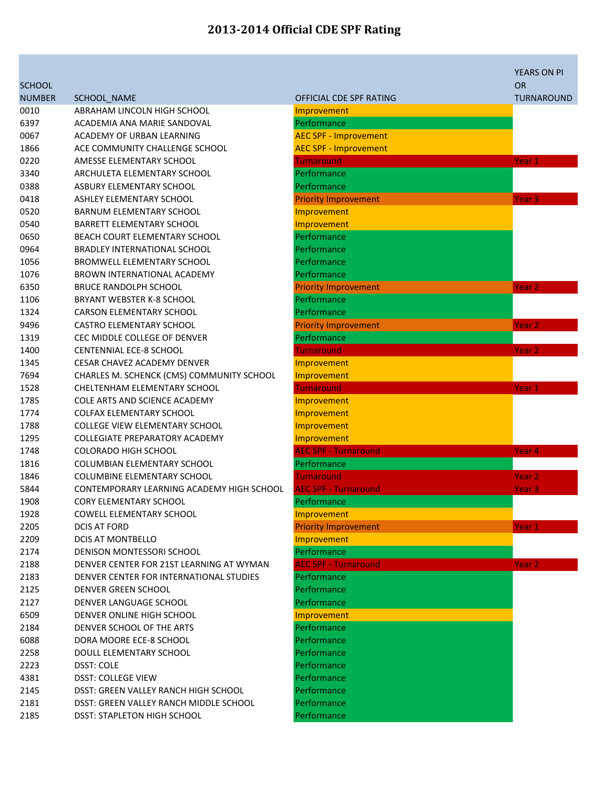|               |                                           |                              | <b>YEARS ON PI</b> |
|---------------|-------------------------------------------|------------------------------|--------------------|
| <b>SCHOOL</b> |                                           |                              | <b>OR</b>          |
| <b>NUMBER</b> | SCHOOL NAME                               | OFFICIAL CDE SPF RATING      | TURNAROUND         |
| 0010          | ABRAHAM LINCOLN HIGH SCHOOL               | Improvement                  |                    |
| 6397          | ACADEMIA ANA MARIE SANDOVAL               | Performance                  |                    |
| 0067          | ACADEMY OF URBAN LEARNING                 | <b>AEC SPF - Improvement</b> |                    |
| 1866          | ACE COMMUNITY CHALLENGE SCHOOL            | <b>AEC SPF - Improvement</b> |                    |
| 0220          | AMESSE ELEMENTARY SCHOOL                  | <b>Turnaround</b>            | Year 1             |
| 3340          | ARCHULETA ELEMENTARY SCHOOL               | Performance                  |                    |
| 0388          | ASBURY ELEMENTARY SCHOOL                  | Performance                  |                    |
| 0418          | ASHLEY ELEMENTARY SCHOOL                  | <b>Priority Improvement</b>  | Year <sub>3</sub>  |
| 0520          | <b>BARNUM ELEMENTARY SCHOOL</b>           | Improvement                  |                    |
| 0540          | <b>BARRETT ELEMENTARY SCHOOL</b>          | Improvement                  |                    |
| 0650          | BEACH COURT ELEMENTARY SCHOOL             | Performance                  |                    |
| 0964          | <b>BRADLEY INTERNATIONAL SCHOOL</b>       | Performance                  |                    |
| 1056          | BROMWELL ELEMENTARY SCHOOL                | Performance                  |                    |
| 1076          | BROWN INTERNATIONAL ACADEMY               | Performance                  |                    |
| 6350          | <b>BRUCE RANDOLPH SCHOOL</b>              | <b>Priority Improvement</b>  | Year <sub>2</sub>  |
| 1106          | BRYANT WEBSTER K-8 SCHOOL                 | Performance                  |                    |
| 1324          | <b>CARSON ELEMENTARY SCHOOL</b>           | Performance                  |                    |
| 9496          | <b>CASTRO ELEMENTARY SCHOOL</b>           | <b>Priority Improvement</b>  | Year 2             |
| 1319          | CEC MIDDLE COLLEGE OF DENVER              | Performance                  |                    |
| 1400          | <b>CENTENNIAL ECE-8 SCHOOL</b>            | <b>Turnaround</b>            | Year 2             |
| 1345          | <b>CESAR CHAVEZ ACADEMY DENVER</b>        | Improvement                  |                    |
| 7694          | CHARLES M. SCHENCK (CMS) COMMUNITY SCHOOL | Improvement                  |                    |
| 1528          | CHELTENHAM ELEMENTARY SCHOOL              | <b>Turnaround</b>            | Year <sub>1</sub>  |
| 1785          | COLE ARTS AND SCIENCE ACADEMY             | Improvement                  |                    |
| 1774          | <b>COLFAX ELEMENTARY SCHOOL</b>           | Improvement                  |                    |
| 1788          | <b>COLLEGE VIEW ELEMENTARY SCHOOL</b>     | Improvement                  |                    |
| 1295          | <b>COLLEGIATE PREPARATORY ACADEMY</b>     | Improvement                  |                    |
| 1748          | <b>COLORADO HIGH SCHOOL</b>               | <b>AEC SPF - Turnaround</b>  | Year <sub>4</sub>  |
| 1816          | <b>COLUMBIAN ELEMENTARY SCHOOL</b>        | Performance                  |                    |
| 1846          | <b>COLUMBINE ELEMENTARY SCHOOL</b>        | Turnaround                   | Year 2             |
| 5844          | CONTEMPORARY LEARNING ACADEMY HIGH SCHOOL | <b>AEC SPF - Turnaround</b>  | Year <sub>3</sub>  |
| 1908          | <b>CORY ELEMENTARY SCHOOL</b>             | Performance                  |                    |
| 1928          | COWELL ELEMENTARY SCHOOL                  | Improvement                  |                    |
| 2205          | DCIS AT FORD                              | <b>Priority Improvement</b>  | Year 1             |
| 2209          | <b>DCIS AT MONTBELLO</b>                  | Improvement                  |                    |
| 2174          | DENISON MONTESSORI SCHOOL                 | Performance                  |                    |
| 2188          | DENVER CENTER FOR 21ST LEARNING AT WYMAN  | <b>AEC SPF - Turnaround</b>  | Year <sub>2</sub>  |
| 2183          | DENVER CENTER FOR INTERNATIONAL STUDIES   | Performance                  |                    |
| 2125          | DENVER GREEN SCHOOL                       | Performance                  |                    |
| 2127          | DENVER LANGUAGE SCHOOL                    | Performance                  |                    |
| 6509          | DENVER ONLINE HIGH SCHOOL                 | Improvement                  |                    |
| 2184          | DENVER SCHOOL OF THE ARTS                 | Performance                  |                    |
| 6088          | DORA MOORE ECE-8 SCHOOL                   | Performance                  |                    |
| 2258          | DOULL ELEMENTARY SCHOOL                   | Performance                  |                    |
| 2223          | <b>DSST: COLE</b>                         | Performance                  |                    |
| 4381          | <b>DSST: COLLEGE VIEW</b>                 | Performance                  |                    |
| 2145          | DSST: GREEN VALLEY RANCH HIGH SCHOOL      | Performance                  |                    |
| 2181          | DSST: GREEN VALLEY RANCH MIDDLE SCHOOL    | Performance                  |                    |
| 2185          | <b>DSST: STAPLETON HIGH SCHOOL</b>        | Performance                  |                    |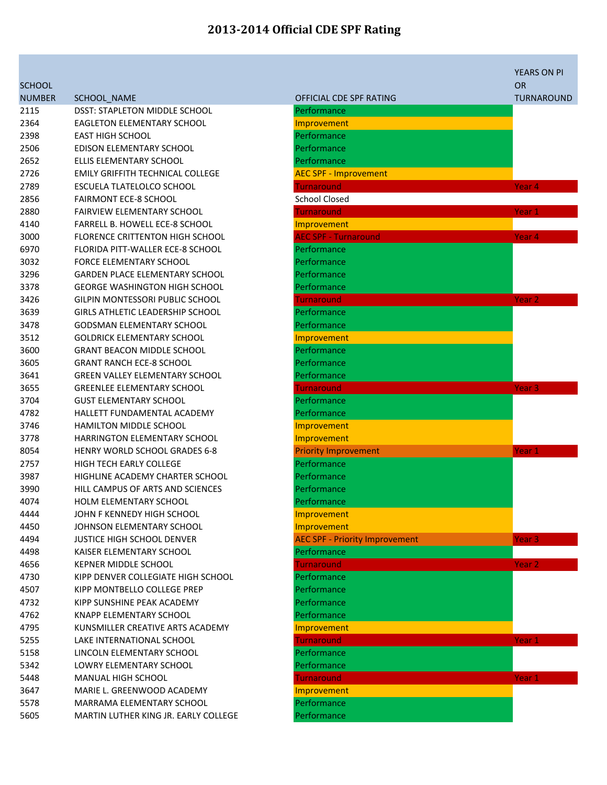**SCHOOL** 

| <b>NUMBER</b> | <b>SCHOOL NAME</b>                      | OFFICIAL CDE SPF RATING           |
|---------------|-----------------------------------------|-----------------------------------|
| 2115          | DSST: STAPLETON MIDDLE SCHOOL           | Performance                       |
| 2364          | <b>EAGLETON ELEMENTARY SCHOOL</b>       | Improvement                       |
| 2398          | <b>EAST HIGH SCHOOL</b>                 | Performance                       |
| 2506          | EDISON ELEMENTARY SCHOOL                | Performance                       |
| 2652          | ELLIS ELEMENTARY SCHOOL                 | Performance                       |
| 2726          | <b>EMILY GRIFFITH TECHNICAL COLLEGE</b> | <b>AEC SPF - Improvement</b>      |
| 2789          | ESCUELA TLATELOLCO SCHOOL               | <b>Turnaround</b>                 |
| 2856          | <b>FAIRMONT ECE-8 SCHOOL</b>            | <b>School Closed</b>              |
| 2880          | <b>FAIRVIEW ELEMENTARY SCHOOL</b>       | <b>Turnaround</b>                 |
| 4140          | <b>FARRELL B. HOWELL ECE-8 SCHOOL</b>   | Improvement                       |
| 3000          | <b>FLORENCE CRITTENTON HIGH SCHOOL</b>  | <b>AEC SPF - Turnaround</b>       |
| 6970          | FLORIDA PITT-WALLER ECE-8 SCHOOL        | Performance                       |
| 3032          | <b>FORCE ELEMENTARY SCHOOL</b>          | Performance                       |
| 3296          | <b>GARDEN PLACE ELEMENTARY SCHOOL</b>   | Performance                       |
| 3378          | <b>GEORGE WASHINGTON HIGH SCHOOL</b>    | Performance                       |
| 3426          | GILPIN MONTESSORI PUBLIC SCHOOL         | <b>Turnaround</b>                 |
| 3639          | <b>GIRLS ATHLETIC LEADERSHIP SCHOOL</b> | Performance                       |
| 3478          | <b>GODSMAN ELEMENTARY SCHOOL</b>        | Performance                       |
| 3512          | <b>GOLDRICK ELEMENTARY SCHOOL</b>       | Improvement                       |
| 3600          | <b>GRANT BEACON MIDDLE SCHOOL</b>       | Performance                       |
| 3605          | <b>GRANT RANCH ECE-8 SCHOOL</b>         | Performance                       |
| 3641          | <b>GREEN VALLEY ELEMENTARY SCHOOL</b>   | Performance                       |
| 3655          | <b>GREENLEE ELEMENTARY SCHOOL</b>       | <b>Turnaround</b>                 |
| 3704          | <b>GUST ELEMENTARY SCHOOL</b>           | Performance                       |
| 4782          | HALLETT FUNDAMENTAL ACADEMY             | Performance                       |
| 3746          | <b>HAMILTON MIDDLE SCHOOL</b>           | Improvement                       |
| 3778          | <b>HARRINGTON ELEMENTARY SCHOOL</b>     | Improvement                       |
| 8054          | <b>HENRY WORLD SCHOOL GRADES 6-8</b>    | <b>Priority Improvement</b>       |
| 2757          | <b>HIGH TECH EARLY COLLEGE</b>          | Performance                       |
| 3987          | HIGHLINE ACADEMY CHARTER SCHOOL         | Performance                       |
| 3990          | HILL CAMPUS OF ARTS AND SCIENCES        | Performance                       |
| 4074          | <b>HOLM ELEMENTARY SCHOOL</b>           | Performance                       |
| 4444          | JOHN F KENNEDY HIGH SCHOOL              | Improvement                       |
| 4450          | JOHNSON ELEMENTARY SCHOOL               | Improvement                       |
| 4494          | <b>JUSTICE HIGH SCHOOL DENVER</b>       | <b>AEC SPF - Priority Improve</b> |
| 4498          | KAISER ELEMENTARY SCHOOL                | Performance                       |
| 4656          | <b>KEPNER MIDDLE SCHOOL</b>             | <b>Turnaround</b>                 |
| 4730          | KIPP DENVER COLLEGIATE HIGH SCHOOL      | Performance                       |
| 4507          | KIPP MONTBELLO COLLEGE PREP             | Performance                       |
| 4732          | KIPP SUNSHINE PEAK ACADEMY              | Performance                       |
| 4762          | <b>KNAPP ELEMENTARY SCHOOL</b>          | Performance                       |
| 4795          | KUNSMILLER CREATIVE ARTS ACADEMY        | Improvement                       |
| 5255          | LAKE INTERNATIONAL SCHOOL               | <b>Turnaround</b>                 |
| 5158          | LINCOLN ELEMENTARY SCHOOL               | Performance                       |
| 5342          | <b>LOWRY ELEMENTARY SCHOOL</b>          | Performance                       |
| 5448          | MANUAL HIGH SCHOOL                      | <b>Turnaround</b>                 |
| 3647          | MARIE L. GREENWOOD ACADEMY              | Improvement                       |
| 5578          | MARRAMA ELEMENTARY SCHOOL               | Performance                       |
| 5605          | MARTIN LUTHER KING JR. EARLY COLLEGE    | Performance                       |
|               |                                         |                                   |

|                |                                                     |                                       | <b>YEARS ON PI</b> |
|----------------|-----------------------------------------------------|---------------------------------------|--------------------|
| SCHOOL         |                                                     |                                       | <b>OR</b>          |
| NUMBER<br>2115 | <b>SCHOOL NAME</b><br>DSST: STAPLETON MIDDLE SCHOOL | OFFICIAL CDE SPF RATING               | <b>TURNAROUND</b>  |
| 2364           | <b>EAGLETON ELEMENTARY SCHOOL</b>                   | Performance                           |                    |
| 2398           | <b>EAST HIGH SCHOOL</b>                             | Improvement<br>Performance            |                    |
| 2506           | EDISON ELEMENTARY SCHOOL                            | Performance                           |                    |
| 2652           | ELLIS ELEMENTARY SCHOOL                             | Performance                           |                    |
| 2726           | <b>EMILY GRIFFITH TECHNICAL COLLEGE</b>             | <b>AEC SPF - Improvement</b>          |                    |
| 2789           | ESCUELA TLATELOLCO SCHOOL                           | <b>Turnaround</b>                     | Year <sub>4</sub>  |
| 2856           | <b>FAIRMONT ECE-8 SCHOOL</b>                        | <b>School Closed</b>                  |                    |
| 2880           | <b>FAIRVIEW ELEMENTARY SCHOOL</b>                   | <b>Turnaround</b>                     | Year 1             |
| 4140           | <b>FARRELL B. HOWELL ECE-8 SCHOOL</b>               | Improvement                           |                    |
| 3000           | <b>FLORENCE CRITTENTON HIGH SCHOOL</b>              | <b>AEC SPF - Turnaround</b>           | Year <sub>4</sub>  |
| 6970           | FLORIDA PITT-WALLER ECE-8 SCHOOL                    | Performance                           |                    |
| 3032           | <b>FORCE ELEMENTARY SCHOOL</b>                      | Performance                           |                    |
| 3296           | <b>GARDEN PLACE ELEMENTARY SCHOOL</b>               | Performance                           |                    |
| 3378           | <b>GEORGE WASHINGTON HIGH SCHOOL</b>                | Performance                           |                    |
| 3426           | GILPIN MONTESSORI PUBLIC SCHOOL                     | Turnaround                            | Year <sub>2</sub>  |
| 3639           | GIRLS ATHLETIC LEADERSHIP SCHOOL                    | Performance                           |                    |
| 3478           | <b>GODSMAN ELEMENTARY SCHOOL</b>                    | Performance                           |                    |
|                | <b>GOLDRICK ELEMENTARY SCHOOL</b>                   |                                       |                    |
| 3512<br>3600   | <b>GRANT BEACON MIDDLE SCHOOL</b>                   | Improvement<br>Performance            |                    |
| 3605           | <b>GRANT RANCH ECE-8 SCHOOL</b>                     | Performance                           |                    |
| 3641           | <b>GREEN VALLEY ELEMENTARY SCHOOL</b>               | Performance                           |                    |
| 3655           | <b>GREENLEE ELEMENTARY SCHOOL</b>                   | <b>Turnaround</b>                     | Year <sub>3</sub>  |
| 3704           | <b>GUST ELEMENTARY SCHOOL</b>                       | Performance                           |                    |
| 4782           | HALLETT FUNDAMENTAL ACADEMY                         |                                       |                    |
| 3746           | HAMILTON MIDDLE SCHOOL                              | Performance                           |                    |
| 3778           | <b>HARRINGTON ELEMENTARY SCHOOL</b>                 | Improvement<br>Improvement            |                    |
| 8054           | <b>HENRY WORLD SCHOOL GRADES 6-8</b>                | <b>Priority Improvement</b>           | Year 1             |
| 2757           | HIGH TECH EARLY COLLEGE                             | Performance                           |                    |
| 3987           | HIGHLINE ACADEMY CHARTER SCHOOL                     | Performance                           |                    |
| 3990           | HILL CAMPUS OF ARTS AND SCIENCES                    | Performance                           |                    |
| 4074           | <b>HOLM ELEMENTARY SCHOOL</b>                       | Performance                           |                    |
| 4444           | JOHN F KENNEDY HIGH SCHOOL                          | Improvement                           |                    |
| 4450           | JOHNSON ELEMENTARY SCHOOL                           | Improvement                           |                    |
| 4494           | <b>JUSTICE HIGH SCHOOL DENVER</b>                   | <b>AEC SPF - Priority Improvement</b> | Year <sub>3</sub>  |
| 4498           | KAISER ELEMENTARY SCHOOL                            | Performance                           |                    |
| 4656           | <b>KEPNER MIDDLE SCHOOL</b>                         | <b>Turnaround</b>                     | Year <sub>2</sub>  |
| 4730           | KIPP DENVER COLLEGIATE HIGH SCHOOL                  | Performance                           |                    |
| 4507           | KIPP MONTBELLO COLLEGE PREP                         | Performance                           |                    |
| 4732           | KIPP SUNSHINE PEAK ACADEMY                          | Performance                           |                    |
| 4762           | KNAPP ELEMENTARY SCHOOL                             | Performance                           |                    |
| 4795           | KUNSMILLER CREATIVE ARTS ACADEMY                    | Improvement                           |                    |
| 5255           | LAKE INTERNATIONAL SCHOOL                           | <b>Turnaround</b>                     | Year 1             |
| 5158           | LINCOLN ELEMENTARY SCHOOL                           | Performance                           |                    |
| 5342           | LOWRY ELEMENTARY SCHOOL                             | Performance                           |                    |
| 5448           | MANUAL HIGH SCHOOL                                  | <b>Turnaround</b>                     | Year <sub>1</sub>  |
| 3647           | MARIE L. GREENWOOD ACADEMY                          | Improvement                           |                    |
| 5578           | MARRAMA ELEMENTARY SCHOOL                           | Performance                           |                    |
| 5605           | MARTIN LUTHER KING JR. EARLY COLLEGE                | Performance                           |                    |
|                |                                                     |                                       |                    |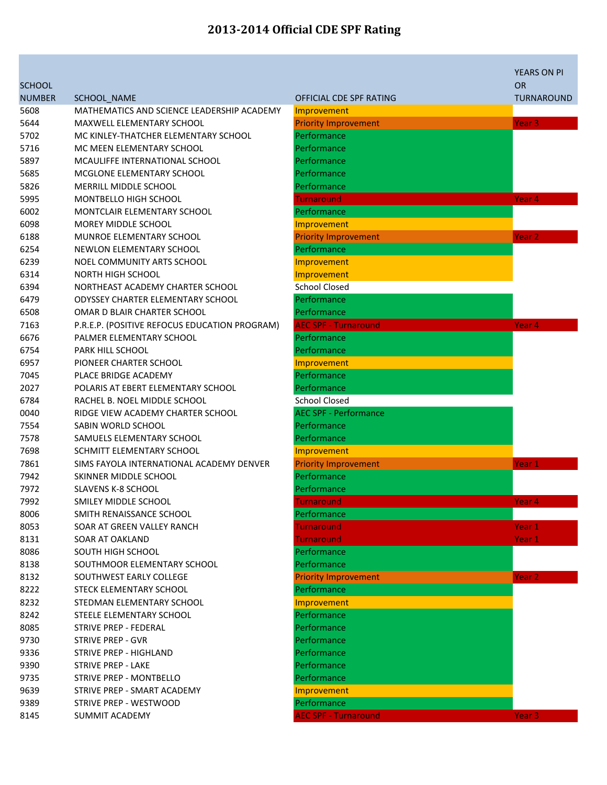|               |                                               |                              | <b>YEARS ON PI</b> |
|---------------|-----------------------------------------------|------------------------------|--------------------|
| <b>SCHOOL</b> |                                               |                              | <b>OR</b>          |
| <b>NUMBER</b> | SCHOOL_NAME                                   | OFFICIAL CDE SPF RATING      | <b>TURNAROUND</b>  |
| 5608          | MATHEMATICS AND SCIENCE LEADERSHIP ACADEMY    | Improvement                  |                    |
| 5644          | <b>MAXWELL ELEMENTARY SCHOOL</b>              | <b>Priority Improvement</b>  | Year <sub>3</sub>  |
| 5702          | MC KINLEY-THATCHER ELEMENTARY SCHOOL          | Performance                  |                    |
| 5716          | MC MEEN ELEMENTARY SCHOOL                     | Performance                  |                    |
| 5897          | MCAULIFFE INTERNATIONAL SCHOOL                | Performance                  |                    |
| 5685          | MCGLONE ELEMENTARY SCHOOL                     | Performance                  |                    |
| 5826          | <b>MERRILL MIDDLE SCHOOL</b>                  | Performance                  |                    |
| 5995          | MONTBELLO HIGH SCHOOL                         | <b>Turnaround</b>            | Year <sub>4</sub>  |
| 6002          | MONTCLAIR ELEMENTARY SCHOOL                   | Performance                  |                    |
| 6098          | <b>MOREY MIDDLE SCHOOL</b>                    | Improvement                  |                    |
| 6188          | MUNROE ELEMENTARY SCHOOL                      | <b>Priority Improvement</b>  | Year 2             |
| 6254          | NEWLON ELEMENTARY SCHOOL                      | Performance                  |                    |
| 6239          | NOEL COMMUNITY ARTS SCHOOL                    | Improvement                  |                    |
| 6314          | <b>NORTH HIGH SCHOOL</b>                      | Improvement                  |                    |
| 6394          | NORTHEAST ACADEMY CHARTER SCHOOL              | <b>School Closed</b>         |                    |
| 6479          | <b>ODYSSEY CHARTER ELEMENTARY SCHOOL</b>      | Performance                  |                    |
| 6508          | OMAR D BLAIR CHARTER SCHOOL                   | Performance                  |                    |
| 7163          | P.R.E.P. (POSITIVE REFOCUS EDUCATION PROGRAM) | <b>AEC SPF - Turnaround</b>  | Year <sub>4</sub>  |
| 6676          | PALMER ELEMENTARY SCHOOL                      | Performance                  |                    |
| 6754          | PARK HILL SCHOOL                              | Performance                  |                    |
| 6957          | PIONEER CHARTER SCHOOL                        | Improvement                  |                    |
| 7045          | PLACE BRIDGE ACADEMY                          | Performance                  |                    |
| 2027          | POLARIS AT EBERT ELEMENTARY SCHOOL            | Performance                  |                    |
| 6784          | RACHEL B. NOEL MIDDLE SCHOOL                  | <b>School Closed</b>         |                    |
| 0040          | RIDGE VIEW ACADEMY CHARTER SCHOOL             | <b>AEC SPF - Performance</b> |                    |
| 7554          | SABIN WORLD SCHOOL                            | Performance                  |                    |
| 7578          | SAMUELS ELEMENTARY SCHOOL                     | Performance                  |                    |
| 7698          | SCHMITT ELEMENTARY SCHOOL                     | Improvement                  |                    |
| 7861          | SIMS FAYOLA INTERNATIONAL ACADEMY DENVER      | <b>Priority Improvement</b>  | Year 1             |
| 7942          | SKINNER MIDDLE SCHOOL                         | Performance                  |                    |
| 7972          | <b>SLAVENS K-8 SCHOOL</b>                     | Performance                  |                    |
| 7992          | SMILEY MIDDLE SCHOOL                          | Turnaround                   | Year <sub>4</sub>  |
| 8006          | SMITH RENAISSANCE SCHOOL                      | Performance                  |                    |
| 8053          | SOAR AT GREEN VALLEY RANCH                    | <b>Turnaround</b>            | Year 1             |
| 8131          | SOAR AT OAKLAND                               | <b>Turnaround</b>            | Year 1             |
| 8086          | SOUTH HIGH SCHOOL                             | Performance                  |                    |
| 8138          | SOUTHMOOR ELEMENTARY SCHOOL                   | Performance                  |                    |
| 8132          | SOUTHWEST EARLY COLLEGE                       | <b>Priority Improvement</b>  | Year <sub>2</sub>  |
| 8222          | STECK ELEMENTARY SCHOOL                       | Performance                  |                    |
| 8232          | STEDMAN ELEMENTARY SCHOOL                     | Improvement                  |                    |
| 8242          | STEELE ELEMENTARY SCHOOL                      | Performance                  |                    |
| 8085          | STRIVE PREP - FEDERAL                         | Performance                  |                    |
| 9730          | <b>STRIVE PREP - GVR</b>                      | Performance                  |                    |
| 9336          | <b>STRIVE PREP - HIGHLAND</b>                 | Performance                  |                    |
| 9390          | <b>STRIVE PREP - LAKE</b>                     | Performance                  |                    |
| 9735          | STRIVE PREP - MONTBELLO                       | Performance                  |                    |
| 9639          | STRIVE PREP - SMART ACADEMY                   | Improvement                  |                    |
| 9389          | STRIVE PREP - WESTWOOD                        | Performance                  |                    |
| 8145          | <b>SUMMIT ACADEMY</b>                         | <b>AEC SPF - Turnaround</b>  | Year 3             |